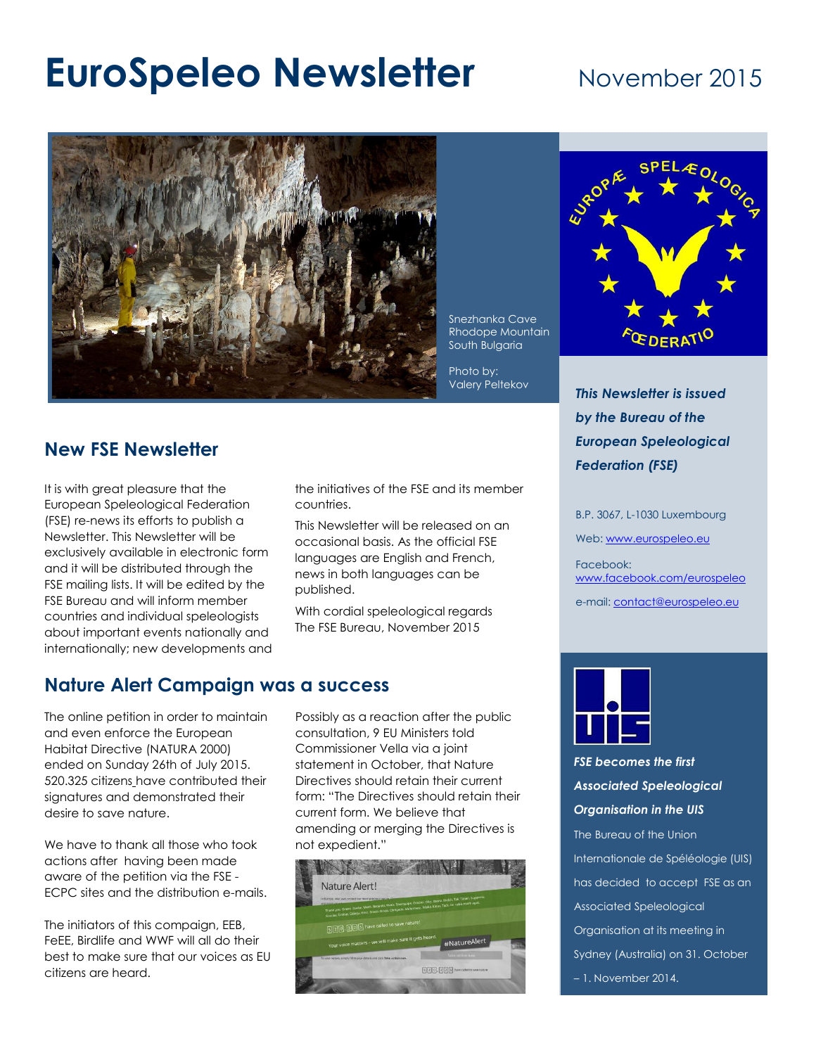# **EuroSpeleo Newsletter** November 2015



#### Snezhanka Cave Rhodope Mountain South Bulgaria

Photo by:

## **New FSE Newsletter**

It is with great pleasure that the European Speleological Federation (FSE) re-news its efforts to publish a Newsletter. This Newsletter will be exclusively available in electronic form and it will be distributed through the FSE mailing lists. It will be edited by the FSE Bureau and will inform member countries and individual speleologists about important events nationally and internationally; new developments and the initiatives of the FSE and its member countries.

This Newsletter will be released on an occasional basis. As the official FSE languages are English and French, news in both languages can be published.

With cordial speleological regards The FSE Bureau, November 2015

#### **Nature Alert Campaign was a success**

The online petition in order to maintain and even enforce the European Habitat Directive (NATURA 2000) ended on Sunday 26th of July 2015. 520.325 citizens have contributed their signatures and demonstrated their desire to save nature.

We have to thank all those who took actions after having been made aware of the petition via the FSE - ECPC sites and the distribution e-mails.

The initiators of this compaign, EEB, FeEE, Birdlife and WWF will all do their best to make sure that our voices as EU citizens are heard.

Possibly as a reaction after the public consultation, 9 EU Ministers told Commissioner Vella via a joint statement in October, that Nature Directives should retain their current form: "The Directives should retain their current form. We believe that amending or merging the Directives is not expedient."





Valery Peltekov *This Newsletter is issued by the Bureau of the European Speleological Federation (FSE)* 

B.P. 3067, L-1030 Luxembourg

Web: [www.eurospeleo.eu](http://www.eurospeleo.eu/)

Facebook: [www.facebook.com/eurospeleo](file:///C:/Users/Henk/Documents/FSE/www.facebook.com/eurospeleo)

e-mail[: contact@eurospeleo.eu](mailto:contact@eurospeleo.eu)



*FSE becomes the first Associated Speleological Organisation in the UIS* The Bureau of the Union

Internationale de Spéléologie (UIS) has decided to accept FSE as an Associated Speleological Organisation at its meeting in Sydney (Australia) on 31. October

– 1. November 2014.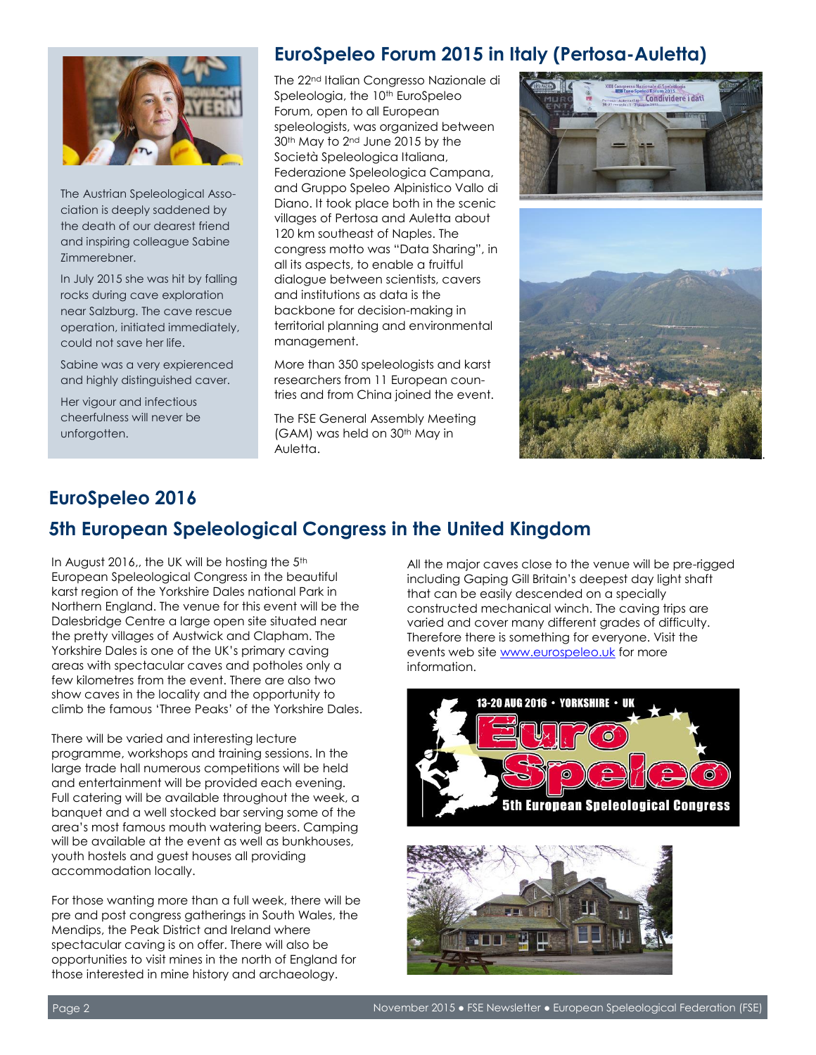

The Austrian Speleological Association is deeply saddened by the death of our dearest friend and inspiring colleague Sabine Zimmerebner.

In July 2015 she was hit by falling rocks during cave exploration near Salzburg. The cave rescue operation, initiated immediately, could not save her life.

Sabine was a very expierenced and highly distinguished caver.

Her vigour and infectious cheerfulness will never be unforgotten.

## **EuroSpeleo Forum 2015 in Italy (Pertosa-Auletta)**

The 22nd Italian Congresso Nazionale di Speleologia, the 10<sup>th</sup> EuroSpeleo Forum, open to all European speleologists, was organized between 30<sup>th</sup> May to 2<sup>nd</sup> June 2015 by the Società Speleologica Italiana, Federazione Speleologica Campana, and Gruppo Speleo Alpinistico Vallo di Diano. It took place both in the scenic villages of Pertosa and Auletta about 120 km southeast of Naples. The congress motto was "Data Sharing", in all its aspects, to enable a fruitful dialogue between scientists, cavers and institutions as data is the backbone for decision-making in territorial planning and environmental management.

More than 350 speleologists and karst researchers from 11 European countries and from China joined the event.

The FSE General Assembly Meeting (GAM) was held on 30<sup>th</sup> May in Auletta.





## **EuroSpeleo 2016 5th European Speleological Congress in the United Kingdom**

In August 2016,, the UK will be hosting the 5<sup>th</sup> European Speleological Congress in the beautiful karst region of the Yorkshire Dales national Park in Northern England. The venue for this event will be the Dalesbridge Centre a large open site situated near the pretty villages of Austwick and Clapham. The Yorkshire Dales is one of the UK's primary caving areas with spectacular caves and potholes only a few kilometres from the event. There are also two show caves in the locality and the opportunity to climb the famous 'Three Peaks' of the Yorkshire Dales.

There will be varied and interesting lecture programme, workshops and training sessions. In the large trade hall numerous competitions will be held and entertainment will be provided each evening. Full catering will be available throughout the week, a banquet and a well stocked bar serving some of the area's most famous mouth watering beers. Camping will be available at the event as well as bunkhouses, youth hostels and guest houses all providing accommodation locally.

For those wanting more than a full week, there will be pre and post congress gatherings in South Wales, the Mendips, the Peak District and Ireland where spectacular caving is on offer. There will also be opportunities to visit mines in the north of England for those interested in mine history and archaeology.

All the major caves close to the venue will be pre-rigged including Gaping Gill Britain's deepest day light shaft that can be easily descended on a specially constructed mechanical winch. The caving trips are varied and cover many different grades of difficulty. Therefore there is something for everyone. Visit the events web site [www.eurospeleo.uk](http://www.eurospeleo.uk/) for more information.



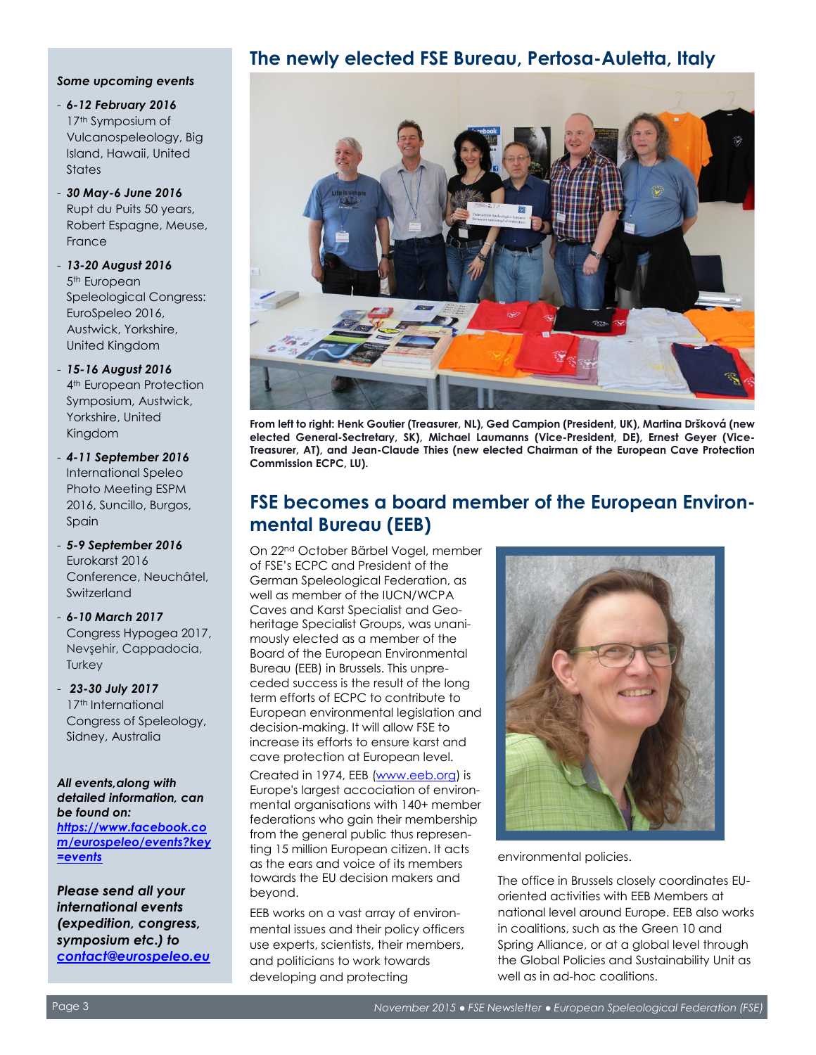#### *Some upcoming events*

- *6-12 February 2016*  17<sup>th</sup> Symposium of Vulcanospeleology, Big Island, Hawaii, United **States**
- *30 May-6 June 2016*  Rupt du Puits 50 years, Robert Espagne, Meuse, France
- *13-20 August 2016*  5<sup>th</sup> European Speleological Congress: EuroSpeleo 2016, Austwick, Yorkshire, United Kingdom
- *15-16 August 2016*  4 th European Protection Symposium, Austwick, Yorkshire, United Kingdom
- *4-11 September 2016*  International Speleo Photo Meeting ESPM 2016, Suncillo, Burgos, Spain
- *5-9 September 2016*  Eurokarst 2016 Conference, Neuchâtel, Switzerland
- *6-10 March 2017*  Congress Hypogea 2017, Nevşehir, Cappadocia, **Turkey**
- *23-30 July 2017* 17<sup>th</sup> International Congress of Speleology, Sidney, Australia

*All events,along with detailed information, can be found on: [https://www.facebook.co](https://www.facebook.com/eurospeleo/events?key=events) [m/eurospeleo/events?key](https://www.facebook.com/eurospeleo/events?key=events) [=events](https://www.facebook.com/eurospeleo/events?key=events)*

*Please send all your international events (expedition, congress, symposium etc.) to [contact@eurospeleo.eu](mailto:contact@eurospeleo.eu)*

#### **The newly elected FSE Bureau, Pertosa-Auletta, Italy**



**From left to right: Henk Goutier (Treasurer, NL), Ged Campion (President, UK), Martina Dršková (new elected General-Sectretary, SK), Michael Laumanns (Vice-President, DE), Ernest Geyer (Vice-Treasurer, AT), and Jean-Claude Thies (new elected Chairman of the European Cave Protection Commission ECPC, LU).**

### **FSE becomes a board member of the European Environmental Bureau (EEB)**

On 22nd October Bärbel Vogel, member of FSE's ECPC and President of the German Speleological Federation, as well as member of the IUCN/WCPA Caves and Karst Specialist and Geoheritage Specialist Groups, was unanimously elected as a member of the Board of the European Environmental Bureau (EEB) in Brussels. This unpreceded success is the result of the long term efforts of ECPC to contribute to European environmental legislation and decision-making. It will allow FSE to increase its efforts to ensure karst and cave protection at European level.

Created in 1974, EEB [\(www.eeb.org\)](http://www.eeb.org/) is Europe's largest accociation of environmental organisations with 140+ member federations who gain their membership from the general public thus representing 15 million European citizen. It acts as the ears and voice of its members towards the EU decision makers and beyond.

EEB works on a vast array of environmental issues and their policy officers use experts, scientists, their members, and politicians to work towards developing and protecting



environmental policies.

The office in Brussels closely coordinates EUoriented activities with EEB Members at national level around Europe. EEB also works in coalitions, such as the Green 10 and Spring Alliance, or at a global level through the Global Policies and Sustainability Unit as well as in ad-hoc coalitions.